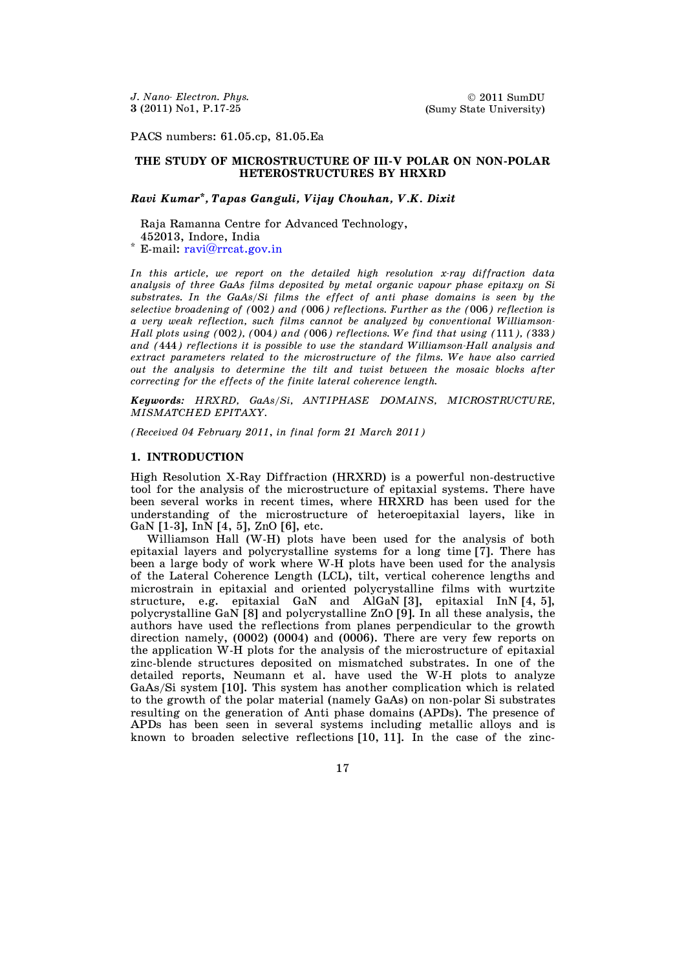*J. Nano- Electron. Phys.* **3** (2011) No1, P.17-25

PACS numbers: 61.05.cp, 81.05.Ea

## **THE STUDY OF MICROSTRUCTURE OF III-V POLAR ON NON-POLAR HETEROSTRUCTURES BY HRXRD**

# *Ravi Kumar\* , Tapas Ganguli, Vijay Chouhan, V.K. Dixit*

 Raja Ramanna Centre for Advanced Technology, 452013, Indore, India \* E-mail: [ravi@rrcat.gov.in](mailto:ravi@rrcat.gov.in)

*In this article, we report on the detailed high resolution x-ray diffraction data analysis of three GaAs films deposited by metal organic vapour phase epitaxy on Si substrates. In the GaAs/Si films the effect of anti phase domains is seen by the selective broadening of (*002*) and (*006*) reflections. Further as the (*006*) reflection is a very weak reflection, such films cannot be analyzed by conventional Williamson-Hall plots using (*002*), (*004*) and (*006*) reflections. We find that using (*111*), (*333*) and (*444*) reflections it is possible to use the standard Williamson-Hall analysis and extract parameters related to the microstructure of the films. We have also carried out the analysis to determine the tilt and twist between the mosaic blocks after correcting for the effects of the finite lateral coherence length.* 

*Keywords: HRXRD, GaAs/Si, ANTIPHASE DOMAINS, MICROSTRUCTURE, MISMATCHED EPITAXY.* 

*(Received 04 February 2011*, *in final form 21 March 2011)* 

#### **1. INTRODUCTION**

High Resolution X-Ray Diffraction (HRXRD) is a powerful non-destructive tool for the analysis of the microstructure of epitaxial systems. There have been several works in recent times, where HRXRD has been used for the understanding of the microstructure of heteroepitaxial layers, like in GaN [1-3], InN [4, 5], ZnO [6], etc.

Williamson Hall (W-H) plots have been used for the analysis of both epitaxial layers and polycrystalline systems for a long time [7]. There has been a large body of work where W-H plots have been used for the analysis of the Lateral Coherence Length (LCL), tilt, vertical coherence lengths and microstrain in epitaxial and oriented polycrystalline films with wurtzite structure, e.g. epitaxial GaN and AlGaN [3], epitaxial InN [4, 5], polycrystalline GaN [8] and polycrystalline ZnO [9]. In all these analysis, the authors have used the reflections from planes perpendicular to the growth direction namely, (0002) (0004) and (0006). There are very few reports on the application W-H plots for the analysis of the microstructure of epitaxial zinc-blende structures deposited on mismatched substrates. In one of the detailed reports, Neumann et al. have used the W-H plots to analyze GaAs/Si system [10]. This system has another complication which is related to the growth of the polar material (namely GaAs) on non-polar Si substrates resulting on the generation of Anti phase domains (APDs). The presence of APDs has been seen in several systems including metallic alloys and is known to broaden selective reflections [10, 11]. In the case of the zinc-

17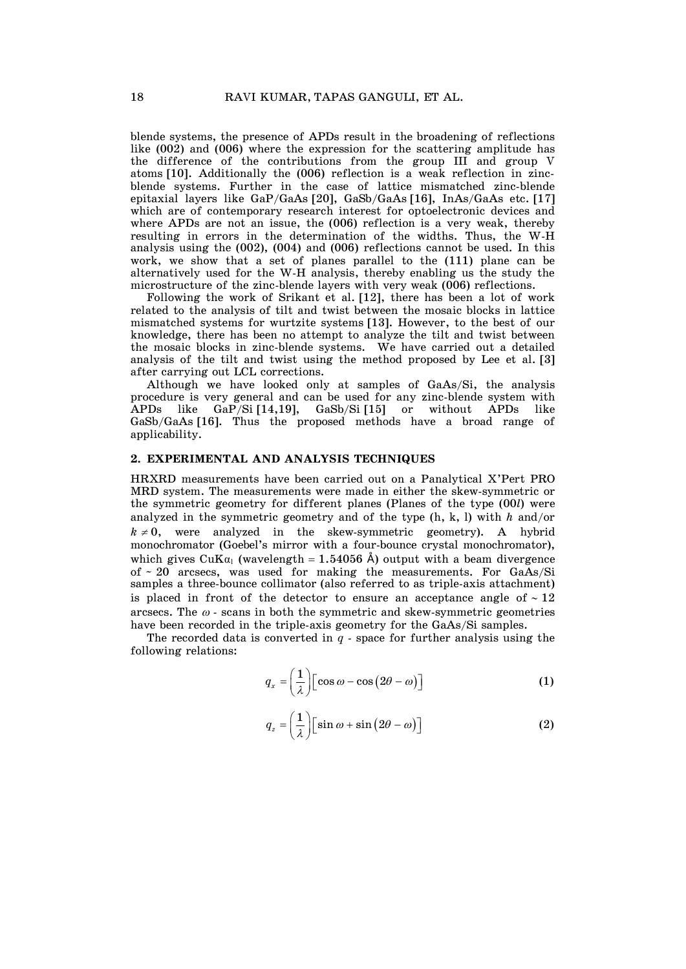blende systems, the presence of APDs result in the broadening of reflections like  $(002)$  and  $(006)$  where the expression for the scattering amplitude has the difference of the contributions from the group III and group V atoms [10]. Additionally the (006) reflection is a weak reflection in zincblende systems. Further in the case of lattice mismatched zinc-blende epitaxial layers like GaP/GaAs [20], GaSb/GaAs [16], InAs/GaAs etc. [17] which are of contemporary research interest for optoelectronic devices and where APDs are not an issue, the (006) reflection is a very weak, thereby resulting in errors in the determination of the widths. Thus, the W-H analysis using the (002), (004) and (006) reflections cannot be used. In this work, we show that a set of planes parallel to the (111) plane can be alternatively used for the W-H analysis, thereby enabling us the study the microstructure of the zinc-blende layers with very weak (006) reflections.

Following the work of Srikant et al. [12], there has been a lot of work related to the analysis of tilt and twist between the mosaic blocks in lattice mismatched systems for wurtzite systems [13]. However, to the best of our knowledge, there has been no attempt to analyze the tilt and twist between the mosaic blocks in zinc-blende systems. We have carried out a detailed analysis of the tilt and twist using the method proposed by Lee et al. [3] after carrying out LCL corrections.

Although we have looked only at samples of GaAs/Si, the analysis procedure is very general and can be used for any zinc-blende system with APDs like GaP/Si [14,19], GaSb/Si [15] or without APDs like GaSb/GaAs [16]. Thus the proposed methods have a broad range of applicability.

# **2. EXPERIMENTAL AND ANALYSIS TECHNIQUES**

HRXRD measurements have been carried out on a Panalytical X'Pert PRO MRD system. The measurements were made in either the skew-symmetric or the symmetric geometry for different planes (Planes of the type (00*l*) were analyzed in the symmetric geometry and of the type (h, k, l) with *h* and/or  $k \neq 0$ , were analyzed in the skew-symmetric geometry). A hybrid monochromator (Goebel's mirror with a four-bounce crystal monochromator), which gives CuK $q_1$  (wavelength = 1.54056  $\AA$ ) output with a beam divergence of ~ 20 arcsecs, was used for making the measurements. For GaAs/Si samples a three-bounce collimator (also referred to as triple-axis attachment) is placed in front of the detector to ensure an acceptance angle of  $\sim 12$ arcsecs. The  $\omega$  - scans in both the symmetric and skew-symmetric geometries have been recorded in the triple-axis geometry for the GaAs/Si samples.

The recorded data is converted in  $q$  - space for further analysis using the following relations:

$$
q_x = \left(\frac{1}{\lambda}\right) \left[\cos \omega - \cos(2\theta - \omega)\right] \tag{1}
$$

$$
q_z = \left(\frac{1}{\lambda}\right) \left[\sin \omega + \sin \left(2\theta - \omega\right)\right]
$$
 (2)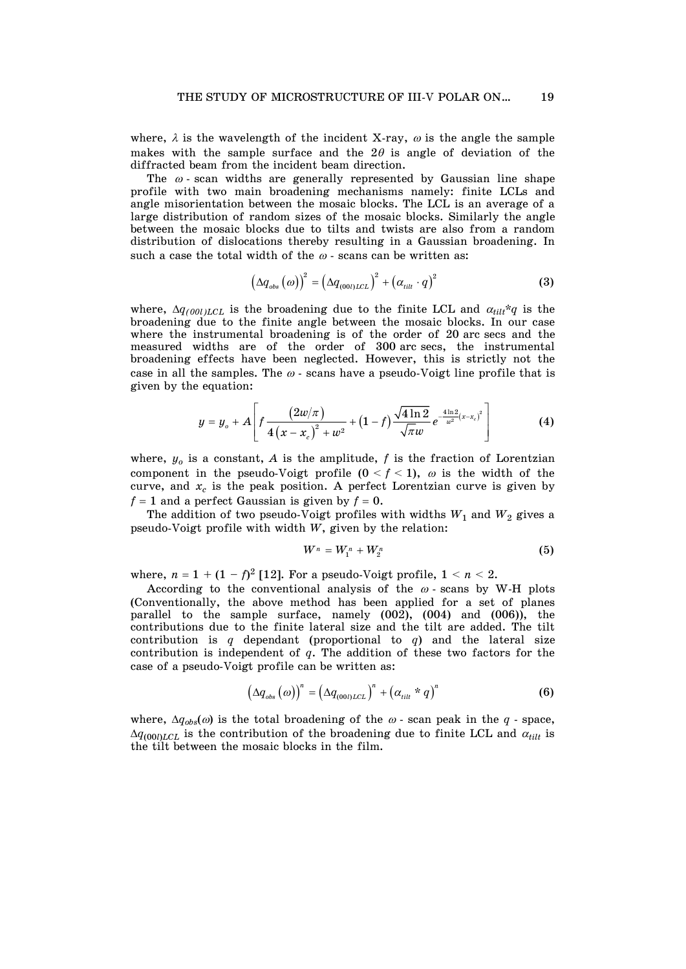where,  $\lambda$  is the wavelength of the incident X-ray,  $\omega$  is the angle the sample makes with the sample surface and the  $2\theta$  is angle of deviation of the diffracted beam from the incident beam direction.

The  $\omega$  - scan widths are generally represented by Gaussian line shape profile with two main broadening mechanisms namely: finite LCLs and angle misorientation between the mosaic blocks. The LCL is an average of a large distribution of random sizes of the mosaic blocks. Similarly the angle between the mosaic blocks due to tilts and twists are also from a random distribution of dislocations thereby resulting in a Gaussian broadening. In such a case the total width of the  $\omega$  - scans can be written as:

$$
\left(\Delta q_{obs}\left(\omega\right)\right)^{2}=\left(\Delta q_{(00l)LCL}\right)^{2}+\left(\alpha_{tilt}\cdot q\right)^{2}
$$
\n(3)

where,  $\Delta q_{(001)LCL}$  is the broadening due to the finite LCL and  $\alpha_{tilt}$ <sup>\*</sup>*q* is the broadening due to the finite angle between the mosaic blocks. In our case where the instrumental broadening is of the order of 20 arc secs and the measured widths are of the order of 300 arc secs, the instrumental broadening effects have been neglected. However, this is strictly not the case in all the samples. The  $\omega$  - scans have a pseudo-Voigt line profile that is given by the equation:

$$
y = y_o + A \left[ f \frac{(2w/\pi)}{4(x - x_c)^2 + w^2} + (1 - f) \frac{\sqrt{4 \ln 2}}{\sqrt{\pi} w} e^{-\frac{4 \ln 2}{w^2}(x - x_c)^2} \right]
$$
(4)

where, *y<sup>o</sup>* is a constant, *A* is the amplitude, *f* is the fraction of Lorentzian component in the pseudo-Voigt profile  $(0 < f < 1)$ ,  $\omega$  is the width of the curve, and  $x_c$  is the peak position. A perfect Lorentzian curve is given by  $f = 1$  and a perfect Gaussian is given by  $f = 0$ .

The addition of two pseudo-Voigt profiles with widths  $W_1$  and  $W_2$  gives a pseudo-Voigt profile with width *W*, given by the relation:

$$
W^{n} = W_{1}^{n} + W_{2}^{n}
$$
 (5)

where,  $n = 1 + (1 - f)^2$  [12]. For a pseudo-Voigt profile,  $1 < n < 2$ .

According to the conventional analysis of the  $\omega$ - scans by W-H plots (Conventionally, the above method has been applied for a set of planes parallel to the sample surface, namely (002), (004) and (006)), the contributions due to the finite lateral size and the tilt are added. The tilt contribution is *q* dependant (proportional to *q*) and the lateral size contribution is independent of  $q$ . The addition of these two factors for the case of a pseudo-Voigt profile can be written as:

$$
\left(\Delta q_{obs}\left(\omega\right)\right)^{n}=\left(\Delta q_{(00I)LCL}\right)^{n}+\left(\alpha_{tilt} \cdot q\right)^{n}
$$
\n(6)

where,  $\Delta q_{obs}(\omega)$  is the total broadening of the  $\omega$ - scan peak in the *q* - space,  $\Delta q_{(00l)LCL}$  is the contribution of the broadening due to finite LCL and  $\alpha_{tilt}$  is the tilt between the mosaic blocks in the film.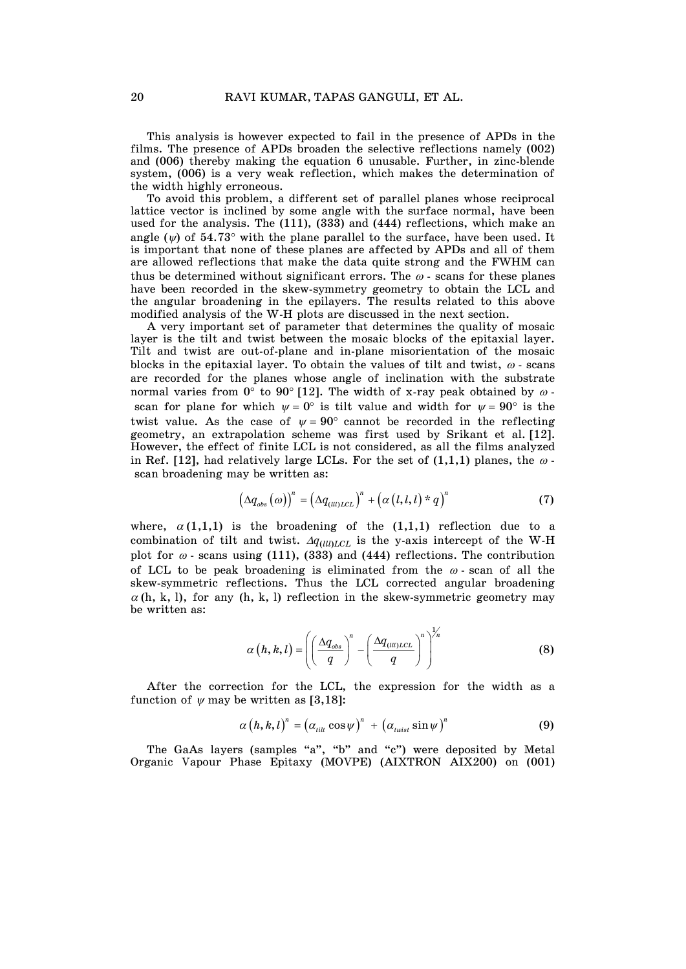This analysis is however expected to fail in the presence of APDs in the films. The presence of APDs broaden the selective reflections namely (002) and (006) thereby making the equation 6 unusable. Further, in zinc-blende system, (006) is a very weak reflection, which makes the determination of the width highly erroneous.

To avoid this problem, a different set of parallel planes whose reciprocal lattice vector is inclined by some angle with the surface normal, have been used for the analysis. The (111), (333) and (444) reflections, which make an angle  $(\psi)$  of 54.73° with the plane parallel to the surface, have been used. It is important that none of these planes are affected by APDs and all of them are allowed reflections that make the data quite strong and the FWHM can thus be determined without significant errors. The  $\omega$  - scans for these planes have been recorded in the skew-symmetry geometry to obtain the LCL and the angular broadening in the epilayers. The results related to this above modified analysis of the W-H plots are discussed in the next section.

A very important set of parameter that determines the quality of mosaic layer is the tilt and twist between the mosaic blocks of the epitaxial layer. Tilt and twist are out-of-plane and in-plane misorientation of the mosaic blocks in the epitaxial layer. To obtain the values of tilt and twist,  $\omega$  - scans are recorded for the planes whose angle of inclination with the substrate normal varies from  $0^{\circ}$  to  $90^{\circ}$  [12]. The width of x-ray peak obtained by  $\omega$ . scan for plane for which  $\psi = 0^{\circ}$  is tilt value and width for  $\psi = 90^{\circ}$  is the twist value. As the case of  $\psi = 90^{\circ}$  cannot be recorded in the reflecting geometry, an extrapolation scheme was first used by Srikant et al. [12]. However, the effect of finite LCL is not considered, as all the films analyzed in Ref. [12], had relatively large LCLs. For the set of  $(1,1,1)$  planes, the  $\omega$ scan broadening may be written as:

$$
\left(\Delta q_{obs}\left(\omega\right)\right)^{n}=\left(\Delta q_{(un)LCL}\right)^{n}+\left(\alpha\left(l,l,l\right)*q\right)^{n}\tag{7}
$$

where,  $\alpha(1,1,1)$  is the broadening of the  $(1,1,1)$  reflection due to a combination of tilt and twist.  $\Delta q_{(lll)LCL}$  is the y-axis intercept of the W-H plot for  $\omega$  - scans using (111), (333) and (444) reflections. The contribution of LCL to be peak broadening is eliminated from the  $\omega$  - scan of all the skew-symmetric reflections. Thus the LCL corrected angular broadening  $\alpha$ (h, k, l), for any (h, k, l) reflection in the skew-symmetric geometry may be written as:

$$
\alpha(h,k,l) = \left( \left( \frac{\Delta q_{obs}}{q} \right)^n - \left( \frac{\Delta q_{(un)LCL}}{q} \right)^n \right)^{\frac{1}{n}}
$$
(8)

After the correction for the LCL, the expression for the width as a function of  $\psi$  may be written as [3,18]:

$$
\alpha(h,k,l)^{n} = (\alpha_{\text{tilt}} \cos \psi)^{n} + (\alpha_{\text{twist}} \sin \psi)^{n}
$$
 (9)

The GaAs layers (samples "a", "b" and "c") were deposited by Metal Organic Vapour Phase Epitaxy (MOVPE) (AIXTRON AIX200) on (001)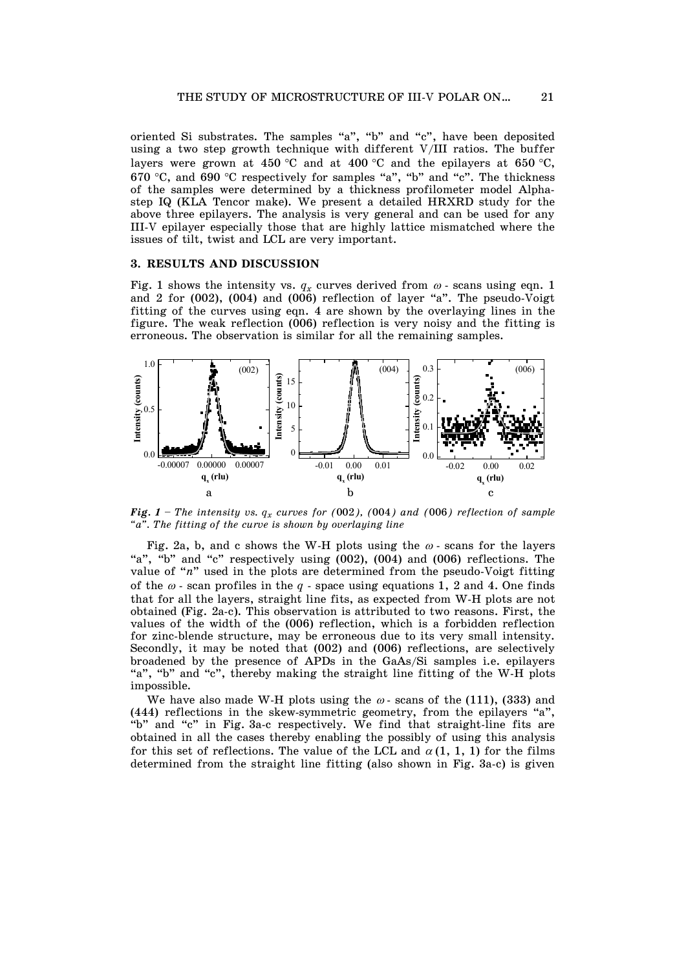oriented Si substrates. The samples "a", "b" and "c", have been deposited using a two step growth technique with different V/III ratios. The buffer layers were grown at 450 °C and at 400 °C and the epilayers at 650 °C, 670 °C, and 690 °C respectively for samples "a", "b" and "c". The thickness of the samples were determined by a thickness profilometer model Alphastep IQ (KLA Tencor make). We present a detailed HRXRD study for the above three epilayers. The analysis is very general and can be used for any III-V epilayer especially those that are highly lattice mismatched where the issues of tilt, twist and LCL are very important.

#### **3. RESULTS AND DISCUSSION**

Fig. 1 shows the intensity vs.  $q_x$  curves derived from  $\omega$  - scans using eqn. 1 and 2 for (002), (004) and (006) reflection of layer "a". The pseudo-Voigt fitting of the curves using eqn. 4 are shown by the overlaying lines in the figure. The weak reflection (006) reflection is very noisy and the fitting is erroneous. The observation is similar for all the remaining samples.



*Fig. 1 – The intensity vs.*  $q_x$  *curves for (002), (004) and (006) reflection of sample "a". The fitting of the curve is shown by overlaying line* 

Fig. 2a, b, and c shows the W-H plots using the  $\omega$  - scans for the layers "a", "b" and "c" respectively using (002), (004) and (006) reflections. The value of "*n*" used in the plots are determined from the pseudo-Voigt fitting of the  $\omega$  - scan profiles in the  $q$  - space using equations 1, 2 and 4. One finds that for all the layers, straight line fits, as expected from W-H plots are not obtained (Fig. 2a-c). This observation is attributed to two reasons. First, the values of the width of the (006) reflection, which is a forbidden reflection for zinc-blende structure, may be erroneous due to its very small intensity. Secondly, it may be noted that (002) and (006) reflections, are selectively broadened by the presence of APDs in the GaAs/Si samples i.e. epilayers "a", "b" and "c", thereby making the straight line fitting of the W-H plots impossible.

We have also made W-H plots using the  $\omega$ - scans of the (111), (333) and (444) reflections in the skew-symmetric geometry, from the epilayers "a", "b" and "c" in Fig. 3a-c respectively. We find that straight-line fits are obtained in all the cases thereby enabling the possibly of using this analysis for this set of reflections. The value of the LCL and  $\alpha(1, 1, 1)$  for the films determined from the straight line fitting (also shown in Fig. 3a-c) is given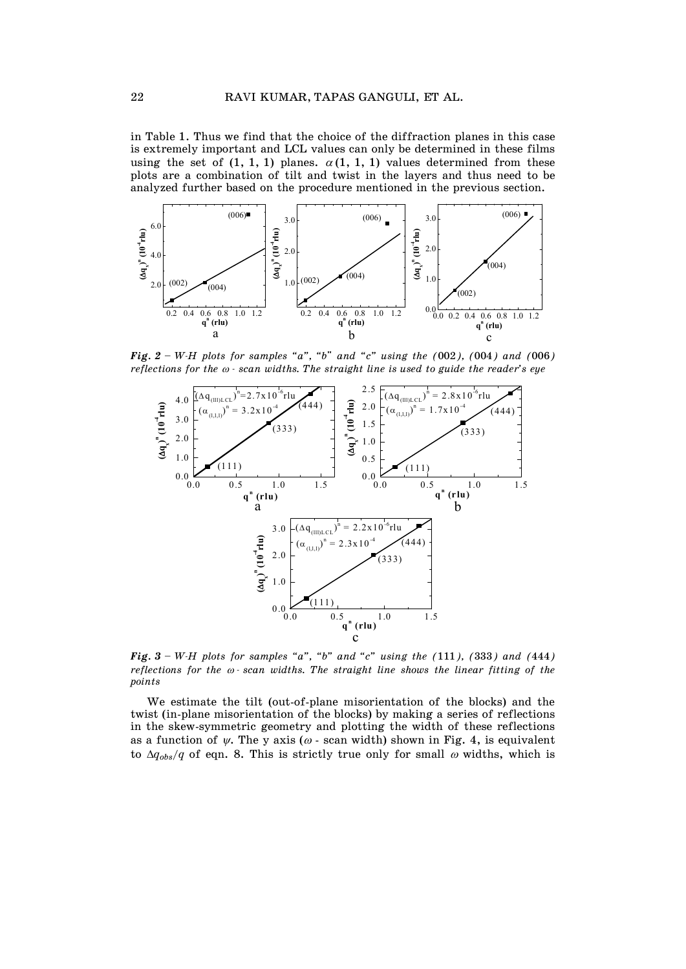in Table 1. Thus we find that the choice of the diffraction planes in this case is extremely important and LCL values can only be determined in these films using the set of  $(1, 1, 1)$  planes.  $\alpha(1, 1, 1)$  values determined from these plots are a combination of tilt and twist in the layers and thus need to be analyzed further based on the procedure mentioned in the previous section.



*Fig.*  $2 - W \cdot H$  plots for samples "a", "b" and "c" using the (002), (004) and (006) *reflections for the*  $\omega$  *- scan widths. The straight line is used to guide the reader's eye* 



*Fig. 3 – W-H plots for samples "a", "b" and "c" using the (*111*), (*333*) and (*444*)*   $reflections for the  $\omega$ -scan widths. The straight line shows the linear fitting of the$ *points* 

We estimate the tilt (out-of-plane misorientation of the blocks) and the twist (in-plane misorientation of the blocks) by making a series of reflections in the skew-symmetric geometry and plotting the width of these reflections as a function of  $\psi$ . The y axis ( $\omega$  - scan width) shown in Fig. 4, is equivalent to  $\Delta q_{obs}/q$  of eqn. 8. This is strictly true only for small  $\omega$  widths, which is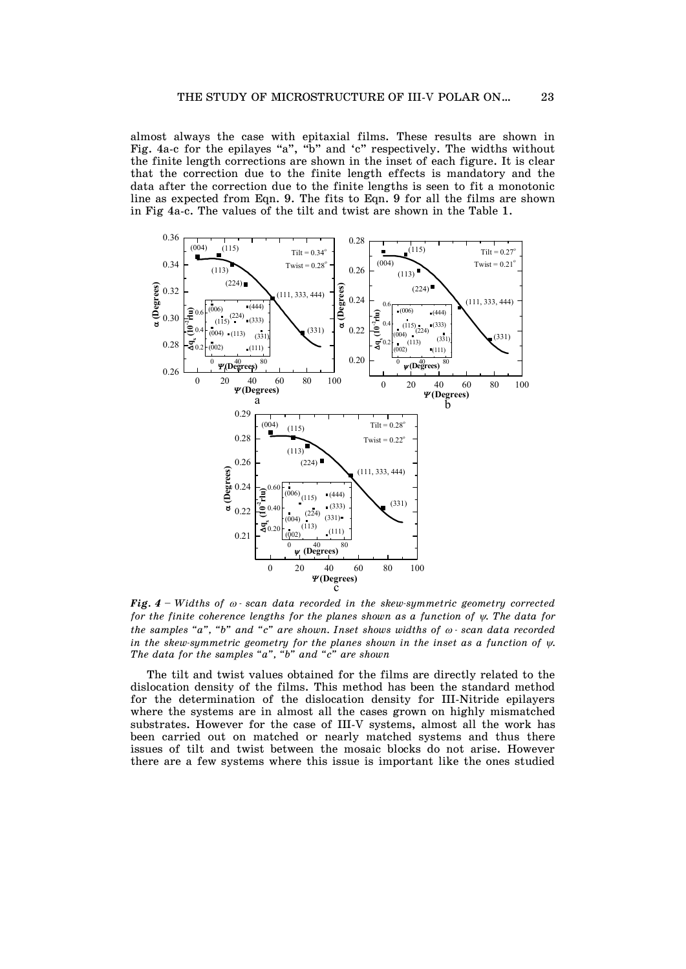almost always the case with epitaxial films. These results are shown in Fig. 4a-c for the epilayes "a", "b" and 'c" respectively. The widths without the finite length corrections are shown in the inset of each figure. It is clear that the correction due to the finite length effects is mandatory and the data after the correction due to the finite lengths is seen to fit a monotonic line as expected from Eqn. 9. The fits to Eqn. 9 for all the films are shown in Fig 4a-c. The values of the tilt and twist are shown in the Table 1.



**Fig. 4** – Widths of  $\omega$  *- scan data recorded in the skew-symmetric geometry corrected for the finite coherence lengths for the planes shown as a function of*  $\psi$ *. The data for the samples "a", "b" and "c" are shown. Inset shows widths of*  $\omega$  *- scan data recorded in the skew-symmetric geometry for the planes shown in the inset as a function of*  $\psi$ *. The data for the samples "a", "b" and "c" are shown* 

The tilt and twist values obtained for the films are directly related to the dislocation density of the films. This method has been the standard method for the determination of the dislocation density for III-Nitride epilayers where the systems are in almost all the cases grown on highly mismatched substrates. However for the case of III-V systems, almost all the work has been carried out on matched or nearly matched systems and thus there issues of tilt and twist between the mosaic blocks do not arise. However there are a few systems where this issue is important like the ones studied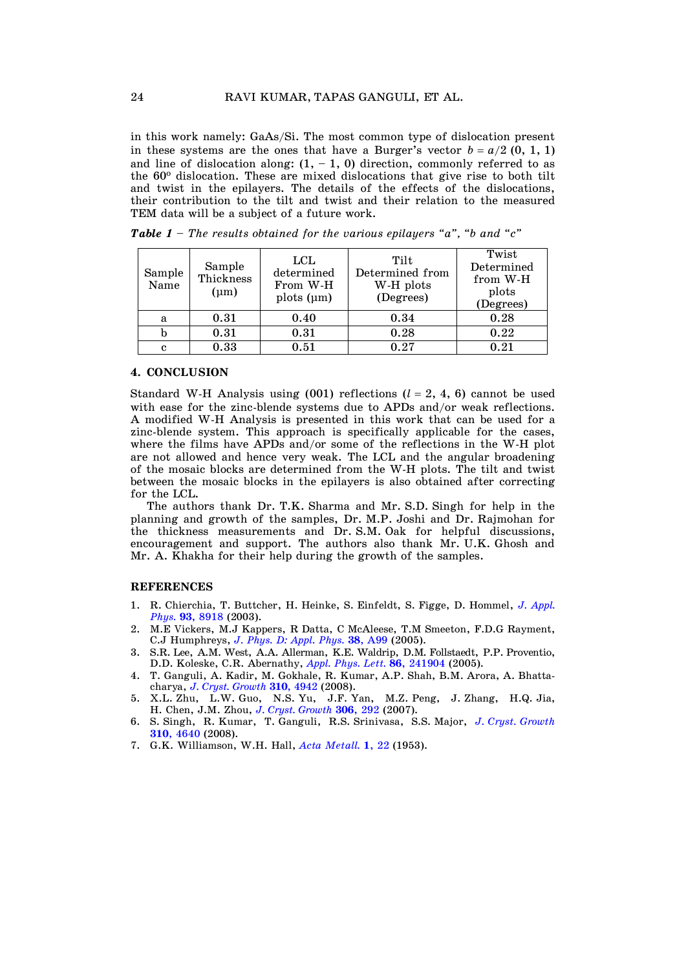in this work namely: GaAs/Si. The most common type of dislocation present in these systems are the ones that have a Burger's vector  $b = a/2 (0, 1, 1)$ and line of dislocation along:  $(1, -1, 0)$  direction, commonly referred to as the 60° dislocation. These are mixed dislocations that give rise to both tilt and twist in the epilayers. The details of the effects of the dislocations, their contribution to the tilt and twist and their relation to the measured TEM data will be a subject of a future work.

| Sample<br>Name | Sample<br>Thickness<br>$(\mu m)$ | LCL<br>determined<br>From W-H<br>$plots$ ( $\mu$ m) | Tilt<br>Determined from<br>W-H plots<br>(Degrees) | Twist<br>Determined<br>from W-H<br>plots<br>(Degrees) |
|----------------|----------------------------------|-----------------------------------------------------|---------------------------------------------------|-------------------------------------------------------|
| a              | 0.31                             | 0.40                                                | 0.34                                              | 0.28                                                  |
|                | 0.31                             | 0.31                                                | 0.28                                              | 0.22                                                  |
| C.             | 0.33                             | 0.51                                                | 0.27                                              | 0.21                                                  |

*Table 1 – The results obtained for the various epilayers "a", "b and "c"* 

# **4. CONCLUSION**

Standard W-H Analysis using (001) reflections  $(l = 2, 4, 6)$  cannot be used with ease for the zinc-blende systems due to APDs and/or weak reflections. A modified W-H Analysis is presented in this work that can be used for a zinc-blende system. This approach is specifically applicable for the cases, where the films have APDs and/or some of the reflections in the W-H plot are not allowed and hence very weak. The LCL and the angular broadening of the mosaic blocks are determined from the W-H plots. The tilt and twist between the mosaic blocks in the epilayers is also obtained after correcting for the LCL.

The authors thank Dr. T.K. Sharma and Mr. S.D. Singh for help in the planning and growth of the samples, Dr. M.P. Joshi and Dr. Rajmohan for the thickness measurements and Dr. S.M. Oak for helpful discussions, encouragement and support. The authors also thank Mr. U.K. Ghosh and Mr. A. Khakha for their help during the growth of the samples.

# **REFERENCES**

- 1. R. Chierchia, T. Buttcher, H. Heinke, S. Einfeldt, S. Figge, D. Hommel, *[J. Appl.](http://dx.doi.org/doi:10.1063/1.1571217)  Phys.* **93**[, 8918](http://dx.doi.org/doi:10.1063/1.1571217) (2003).
- 2. M.E Vickers, M.J Kappers, R Datta, C McAleese, T.M Smeeton, F.D.G Rayment, C.J Humphreys, *[J. Phys. D: Appl. Phys.](http://dx.doi.org/10.1088/0022-3727/38/10A/019)* **38**, A99 (2005).
- 3. S.R. Lee, A.M. West, A.A. Allerman, K.E. Waldrip, D.M. Follstaedt, P.P. Proventio, D.D. Koleske, C.R. Abernathy, *[Appl. Phys. Lett.](http://dx.doi.org/doi:10.1063/1.1947367)* **86**, 241904 (2005).
- 4. T. Ganguli, A. Kadir, M. Gokhale, R. Kumar, A.P. Shah, B.M. Arora, A. Bhattacharya, *[J. Cryst. Growth](http://dx.doi.org/doi:10.1016/j.jcrysgro.2008.08.007)* **310**, 4942 (2008).
- 5. X.L. Zhu, L.W. Guo, N.S. Yu, J.F. Yan, M.Z. Peng, J. Zhang, H.Q. Jia, H. Chen, J.M. Zhou, *[J. Cryst. Growth](http://dx.doi.org/10.1016/j.jcrysgro.2007.05.052)* **306**, 292 (2007).
- 6. S. Singh, R. Kumar, T. Ganguli, R.S. Srinivasa, S.S. Major, *[J. Cryst. Growth](http://dx.doi.org/10.1016/j.jcrysgro.2008.08.055)* **310**[, 4640](http://dx.doi.org/10.1016/j.jcrysgro.2008.08.055) (2008).
- 7. G.K. Williamson, W.H. Hall, *Acta Metall.* **1**, 22 (1953).